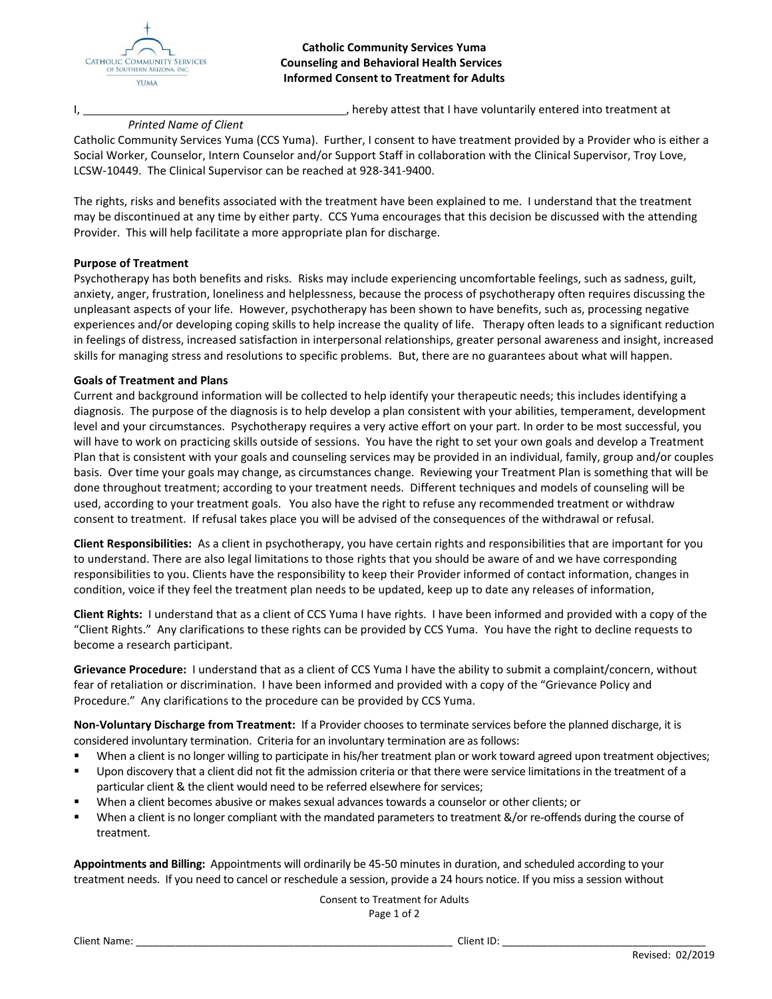

#### **Catholic Community Services Yuma Counseling and Behavioral Health Services Informed Consent to Treatment for Adults**

I, 1. **If the contract that I have voluntarily entered into treatment at**  $\blacksquare$ , hereby attest that I have voluntarily entered into treatment at

### *Printed Name of Client*

Catholic Community Services Yuma (CCS Yuma). Further, I consent to have treatment provided by a Provider who is either a Social Worker, Counselor, Intern Counselor and/or Support Staff in collaboration with the Clinical Supervisor, Troy Love, LCSW-10449. The Clinical Supervisor can be reached at 928-341-9400.

The rights, risks and benefits associated with the treatment have been explained to me. I understand that the treatment may be discontinued at any time by either party. CCS Yuma encourages that this decision be discussed with the attending Provider. This will help facilitate a more appropriate plan for discharge.

#### **Purpose of Treatment**

Psychotherapy has both benefits and risks. Risks may include experiencing uncomfortable feelings, such as sadness, guilt, anxiety, anger, frustration, loneliness and helplessness, because the process of psychotherapy often requires discussing the unpleasant aspects of your life. However, psychotherapy has been shown to have benefits, such as, processing negative experiences and/or developing coping skills to help increase the quality of life. Therapy often leads to a significant reduction in feelings of distress, increased satisfaction in interpersonal relationships, greater personal awareness and insight, increased skills for managing stress and resolutions to specific problems. But, there are no guarantees about what will happen.

#### **Goals of Treatment and Plans**

Current and background information will be collected to help identify your therapeutic needs; this includes identifying a diagnosis. The purpose of the diagnosis is to help develop a plan consistent with your abilities, temperament, development level and your circumstances. Psychotherapy requires a very active effort on your part. In order to be most successful, you will have to work on practicing skills outside of sessions. You have the right to set your own goals and develop a Treatment Plan that is consistent with your goals and counseling services may be provided in an individual, family, group and/or couples basis. Over time your goals may change, as circumstances change. Reviewing your Treatment Plan is something that will be done throughout treatment; according to your treatment needs. Different techniques and models of counseling will be used, according to your treatment goals. You also have the right to refuse any recommended treatment or withdraw consent to treatment. If refusal takes place you will be advised of the consequences of the withdrawal or refusal.

**Client Responsibilities:** As a client in psychotherapy, you have certain rights and responsibilities that are important for you to understand. There are also legal limitations to those rights that you should be aware of and we have corresponding responsibilities to you. Clients have the responsibility to keep their Provider informed of contact information, changes in condition, voice if they feel the treatment plan needs to be updated, keep up to date any releases of information,

**Client Rights:** I understand that as a client of CCS Yuma I have rights. I have been informed and provided with a copy of the "Client Rights." Any clarifications to these rights can be provided by CCS Yuma. You have the right to decline requests to become a research participant.

**Grievance Procedure:** I understand that as a client of CCS Yuma I have the ability to submit a complaint/concern, without fear of retaliation or discrimination. I have been informed and provided with a copy of the "Grievance Policy and Procedure." Any clarifications to the procedure can be provided by CCS Yuma.

**Non-Voluntary Discharge from Treatment:** If a Provider chooses to terminate services before the planned discharge, it is considered involuntary termination. Criteria for an involuntary termination are as follows:

- When a client is no longer willing to participate in his/her treatment plan or work toward agreed upon treatment objectives;
- Upon discovery that a client did not fit the admission criteria or that there were service limitations in the treatment of a particular client & the client would need to be referred elsewhere for services;
- When a client becomes abusive or makes sexual advances towards a counselor or other clients; or
- When a client is no longer compliant with the mandated parameters to treatment &/or re-offends during the course of treatment.

**Appointments and Billing:** Appointments will ordinarily be 45-50 minutes in duration, and scheduled according to your treatment needs. If you need to cancel or reschedule a session, provide a 24 hours notice. If you miss a session without

> Consent to Treatment for Adults Page 1 of 2

Client Name: \_\_\_\_\_\_\_\_\_\_\_\_\_\_\_\_\_\_\_\_\_\_\_\_\_\_\_\_\_\_\_\_\_\_\_\_\_\_\_\_\_\_\_\_\_\_\_\_\_\_\_\_\_\_\_\_ Client ID: \_\_\_\_\_\_\_\_\_\_\_\_\_\_\_\_\_\_\_\_\_\_\_\_\_\_\_\_\_\_\_\_\_\_\_\_